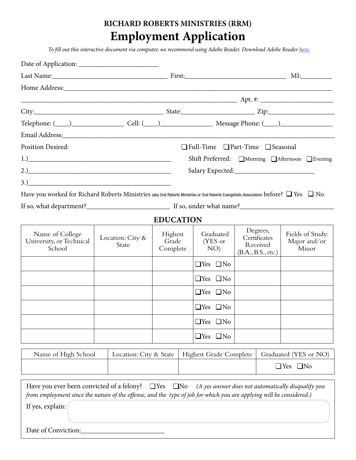# **RICHARD ROBERTS MINISTRIES (RRM) Employment Application**

*To fill out this interactive document via computer, we recommend using Adobe Reader. Download Adobe Reader [here.](http://get.adobe.com/reader/)*

|                                                                                                                                                                                                                                |                           |                        |                              |                                               |                                                   |                                                            | MI:                   |                                                     |
|--------------------------------------------------------------------------------------------------------------------------------------------------------------------------------------------------------------------------------|---------------------------|------------------------|------------------------------|-----------------------------------------------|---------------------------------------------------|------------------------------------------------------------|-----------------------|-----------------------------------------------------|
|                                                                                                                                                                                                                                |                           |                        |                              |                                               |                                                   |                                                            |                       |                                                     |
|                                                                                                                                                                                                                                |                           |                        |                              |                                               |                                                   |                                                            |                       |                                                     |
|                                                                                                                                                                                                                                |                           |                        |                              |                                               |                                                   |                                                            |                       |                                                     |
| Telephone: (1200) Cell: (2000) Cell: (2000) Message Phone: (2000)                                                                                                                                                              |                           |                        |                              |                                               |                                                   |                                                            |                       |                                                     |
| Email Address: Note that the set of the set of the set of the set of the set of the set of the set of the set of the set of the set of the set of the set of the set of the set of the set of the set of the set of the set of |                           |                        |                              |                                               |                                                   |                                                            |                       |                                                     |
| <b>Position Desired:</b>                                                                                                                                                                                                       |                           |                        |                              |                                               | $\Box$ Full-Time $\Box$ Part-Time $\Box$ Seasonal |                                                            |                       |                                                     |
|                                                                                                                                                                                                                                |                           |                        |                              | Shift Preferred: □Morning □Afternoon □Evening |                                                   |                                                            |                       |                                                     |
|                                                                                                                                                                                                                                |                           |                        |                              |                                               |                                                   |                                                            |                       |                                                     |
|                                                                                                                                                                                                                                |                           |                        |                              |                                               |                                                   |                                                            |                       |                                                     |
| Have you worked for Richard Roberts Ministries (aka Oral Roberts Ministries or Oral Roberts Evangelistic Association) before? $\Box$ Yes $\Box$ No                                                                             |                           |                        |                              |                                               |                                                   |                                                            |                       |                                                     |
|                                                                                                                                                                                                                                |                           |                        |                              |                                               |                                                   |                                                            |                       |                                                     |
|                                                                                                                                                                                                                                |                           |                        | <b>EDUCATION</b>             |                                               |                                                   |                                                            |                       |                                                     |
| Name of College<br>University, or Technical<br>School                                                                                                                                                                          | Location: City &<br>State |                        | Highest<br>Grade<br>Complete |                                               | Graduated<br>(YES or<br>NO)                       | Degrees,<br>Certificates<br>Received<br>(B.A., B.S., etc.) |                       | Fields of Study:<br>Major and/or<br>Minor           |
|                                                                                                                                                                                                                                |                           |                        |                              |                                               | $\Box$ Yes $\Box$ No                              |                                                            |                       |                                                     |
|                                                                                                                                                                                                                                |                           |                        |                              |                                               | $\Box$ Yes $\Box$ No                              |                                                            |                       |                                                     |
|                                                                                                                                                                                                                                |                           |                        |                              |                                               | $\Box$ Yes $\Box$ No                              |                                                            |                       |                                                     |
|                                                                                                                                                                                                                                |                           |                        |                              |                                               | $\Box$ Yes $\Box$ No                              |                                                            |                       |                                                     |
|                                                                                                                                                                                                                                |                           |                        |                              |                                               | $\Box$ Yes $\Box$ No                              |                                                            |                       |                                                     |
|                                                                                                                                                                                                                                |                           |                        |                              |                                               | $\Box$ Yes $\Box$ No                              |                                                            |                       |                                                     |
| Name of High School                                                                                                                                                                                                            |                           | Location: City & State |                              |                                               | <b>Highest Grade Complete</b>                     |                                                            | Graduated (YES or NO) |                                                     |
|                                                                                                                                                                                                                                |                           |                        |                              |                                               |                                                   | $\Box$ Yes $\Box$ No                                       |                       |                                                     |
| Have you ever been convicted of a felony? $\Box$ Yes $\Box$ No<br>from employment since the nature of the offense, and the type of job for which you are applying will be considered.)<br>If yes, explain:                     |                           |                        |                              |                                               |                                                   |                                                            |                       | (A yes answer does not automatically disqualify you |
| Date of Conviction:                                                                                                                                                                                                            |                           |                        |                              |                                               |                                                   |                                                            |                       |                                                     |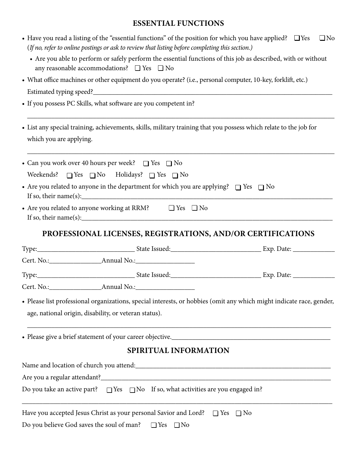#### **ESSENTIAL FUNCTIONS**

|                         | • Have you read a listing of the "essential functions" of the position for which you have applied? $\Box$ Yes                                                                                                                                                                                                                                                                                                                         | $\Box$ No |
|-------------------------|---------------------------------------------------------------------------------------------------------------------------------------------------------------------------------------------------------------------------------------------------------------------------------------------------------------------------------------------------------------------------------------------------------------------------------------|-----------|
|                         | (If no, refer to online postings or ask to review that listing before completing this section.)<br>• Are you able to perform or safely perform the essential functions of this job as described, with or without<br>any reasonable accommodations? $\Box$ Yes $\Box$ No                                                                                                                                                               |           |
|                         | • What office machines or other equipment do you operate? (i.e., personal computer, 10-key, forklift, etc.)                                                                                                                                                                                                                                                                                                                           |           |
|                         |                                                                                                                                                                                                                                                                                                                                                                                                                                       |           |
|                         | • If you possess PC Skills, what software are you competent in?                                                                                                                                                                                                                                                                                                                                                                       |           |
|                         | • List any special training, achievements, skills, military training that you possess which relate to the job for                                                                                                                                                                                                                                                                                                                     |           |
| which you are applying. |                                                                                                                                                                                                                                                                                                                                                                                                                                       |           |
|                         | • Can you work over 40 hours per week? $\Box$ Yes $\Box$ No                                                                                                                                                                                                                                                                                                                                                                           |           |
|                         | Weekends? $\Box$ Yes $\Box$ No Holidays? $\Box$ Yes $\Box$ No                                                                                                                                                                                                                                                                                                                                                                         |           |
|                         | • Are you related to anyone in the department for which you are applying? $\Box$ Yes $\Box$ No<br>If so, their name(s): $\qquad \qquad$ $\qquad \qquad$ $\qquad$ $\qquad$ $\qquad$ $\qquad$ $\qquad$ $\qquad$ $\qquad$ $\qquad$ $\qquad$ $\qquad$ $\qquad$ $\qquad$ $\qquad$ $\qquad$ $\qquad$ $\qquad$ $\qquad$ $\qquad$ $\qquad$ $\qquad$ $\qquad$ $\qquad$ $\qquad$ $\qquad$ $\qquad$ $\qquad$ $\qquad$ $\qquad$ $\qquad$ $\qquad$ |           |
|                         | • Are you related to anyone working at RRM? $\Box$ Yes $\Box$ No<br>If so, their name(s): $\qquad \qquad$ $\qquad \qquad$ $\qquad$ $\qquad$ $\qquad$ $\qquad$ $\qquad$ $\qquad$ $\qquad$ $\qquad$ $\qquad$ $\qquad$ $\qquad$ $\qquad$ $\qquad$ $\qquad$ $\qquad$ $\qquad$ $\qquad$ $\qquad$ $\qquad$ $\qquad$ $\qquad$ $\qquad$ $\qquad$ $\qquad$ $\qquad$ $\qquad$ $\qquad$ $\qquad$ $\qquad$ $\qquad$                               |           |
|                         | PROFESSIONAL LICENSES, REGISTRATIONS, AND/OR CERTIFICATIONS                                                                                                                                                                                                                                                                                                                                                                           |           |
|                         |                                                                                                                                                                                                                                                                                                                                                                                                                                       |           |
|                         |                                                                                                                                                                                                                                                                                                                                                                                                                                       |           |
|                         |                                                                                                                                                                                                                                                                                                                                                                                                                                       |           |
|                         |                                                                                                                                                                                                                                                                                                                                                                                                                                       |           |
|                         | • Please list professional organizations, special interests, or hobbies (omit any which might indicate race, gender,<br>age, national origin, disability, or veteran status).                                                                                                                                                                                                                                                         |           |
|                         |                                                                                                                                                                                                                                                                                                                                                                                                                                       |           |
|                         | SPIRITUAL INFORMATION                                                                                                                                                                                                                                                                                                                                                                                                                 |           |
|                         | Name and location of church you attend:<br><u> and</u> intervalsed and location of church you attend:<br><u>Letter and the contractive and the contractive and the contractive and the contractive and the contractive and the contractiv</u>                                                                                                                                                                                         |           |
|                         |                                                                                                                                                                                                                                                                                                                                                                                                                                       |           |
|                         | Do you take an active part? $\Box$ Yes $\Box$ No If so, what activities are you engaged in?                                                                                                                                                                                                                                                                                                                                           |           |
|                         | Have you accepted Jesus Christ as your personal Savior and Lord? $\Box$ Yes $\Box$ No<br>Do you believe God saves the soul of man?<br>$\Box$ Yes $\Box$ No                                                                                                                                                                                                                                                                            |           |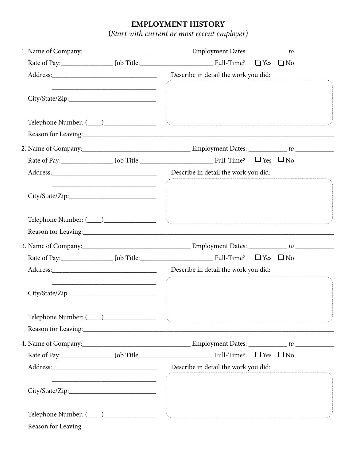## **EMPLOYMENT HISTORY**

**(***Start with current or most recent employer)*

|  | Reason for Leaving: North Communication of the Communication of the Communication of the Communication of the Communication of the Communication of the Communication of the Communication of the Communication of the Communi |
|--|--------------------------------------------------------------------------------------------------------------------------------------------------------------------------------------------------------------------------------|
|  |                                                                                                                                                                                                                                |
|  |                                                                                                                                                                                                                                |
|  |                                                                                                                                                                                                                                |
|  |                                                                                                                                                                                                                                |
|  |                                                                                                                                                                                                                                |
|  |                                                                                                                                                                                                                                |
|  |                                                                                                                                                                                                                                |
|  | Reason for Leaving: 1988 and 2008 and 2008 and 2008 and 2008 and 2008 and 2008 and 2008 and 2008 and 2008 and 2008 and 2008 and 2008 and 2008 and 2008 and 2008 and 2008 and 2008 and 2008 and 2008 and 2008 and 2008 and 2008 |
|  |                                                                                                                                                                                                                                |
|  |                                                                                                                                                                                                                                |
|  |                                                                                                                                                                                                                                |
|  |                                                                                                                                                                                                                                |
|  |                                                                                                                                                                                                                                |
|  |                                                                                                                                                                                                                                |
|  |                                                                                                                                                                                                                                |
|  | Reason for Leaving: 1988 and 2008 and 2008 and 2008 and 2008 and 2008 and 2008 and 2008 and 2008 and 2008 and 2008 and 2008 and 2008 and 2008 and 2008 and 2008 and 2008 and 2008 and 2008 and 2008 and 2008 and 2008 and 2008 |
|  |                                                                                                                                                                                                                                |
|  |                                                                                                                                                                                                                                |
|  | Describe in detail the work you did:                                                                                                                                                                                           |
|  |                                                                                                                                                                                                                                |
|  |                                                                                                                                                                                                                                |
|  |                                                                                                                                                                                                                                |
|  |                                                                                                                                                                                                                                |
|  | Reason for Leaving: 1988 and 2008 and 2008 and 2008 and 2008 and 2008 and 2008 and 2008 and 2008 and 2008 and 2008 and 2008 and 2008 and 2008 and 2008 and 2008 and 2008 and 2008 and 2008 and 2008 and 2008 and 2008 and 2008 |